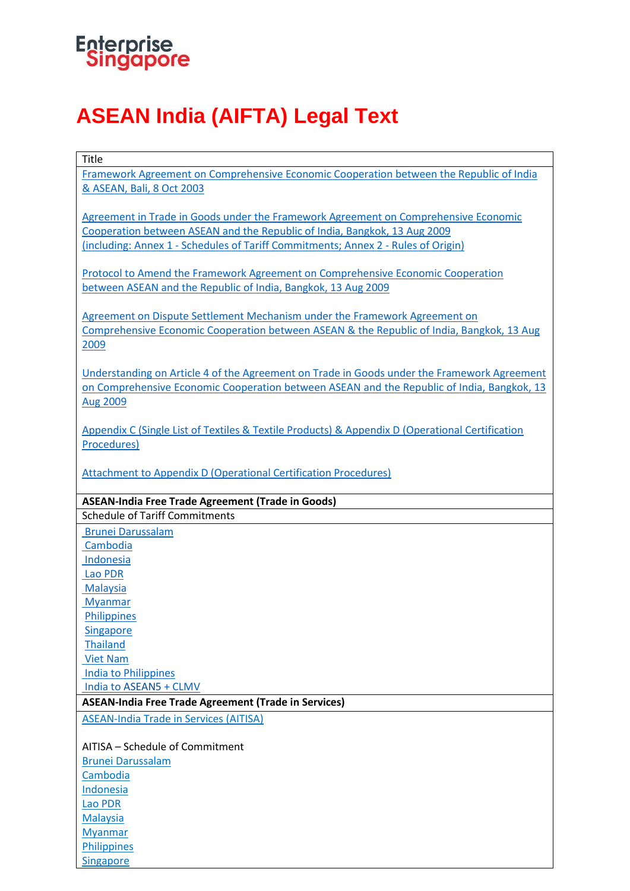

Title

## **ASEAN India (AIFTA) Legal Text**

| Framework Agreement on Comprehensive Economic Cooperation between the Republic of India         |
|-------------------------------------------------------------------------------------------------|
| & ASEAN, Bali, 8 Oct 2003                                                                       |
|                                                                                                 |
| Agreement in Trade in Goods under the Framework Agreement on Comprehensive Economic             |
| Cooperation between ASEAN and the Republic of India, Bangkok, 13 Aug 2009                       |
| (including: Annex 1 - Schedules of Tariff Commitments; Annex 2 - Rules of Origin)               |
|                                                                                                 |
| Protocol to Amend the Framework Agreement on Comprehensive Economic Cooperation                 |
| between ASEAN and the Republic of India, Bangkok, 13 Aug 2009                                   |
|                                                                                                 |
|                                                                                                 |
| Agreement on Dispute Settlement Mechanism under the Framework Agreement on                      |
| Comprehensive Economic Cooperation between ASEAN & the Republic of India, Bangkok, 13 Aug       |
| 2009                                                                                            |
|                                                                                                 |
| Understanding on Article 4 of the Agreement on Trade in Goods under the Framework Agreement     |
| on Comprehensive Economic Cooperation between ASEAN and the Republic of India, Bangkok, 13      |
| <b>Aug 2009</b>                                                                                 |
|                                                                                                 |
| Appendix C (Single List of Textiles & Textile Products) & Appendix D (Operational Certification |
| Procedures)                                                                                     |
|                                                                                                 |
| <b>Attachment to Appendix D (Operational Certification Procedures)</b>                          |
|                                                                                                 |
| <b>ASEAN-India Free Trade Agreement (Trade in Goods)</b>                                        |
| <b>Schedule of Tariff Commitments</b>                                                           |
|                                                                                                 |
|                                                                                                 |
| <b>Brunei Darussalam</b>                                                                        |
| Cambodia                                                                                        |
| Indonesia                                                                                       |
| Lao PDR                                                                                         |
| <b>Malaysia</b>                                                                                 |
| <b>Myanmar</b>                                                                                  |
| <b>Philippines</b>                                                                              |
| <b>Singapore</b>                                                                                |
| <b>Thailand</b>                                                                                 |
| <b>Viet Nam</b>                                                                                 |
| <b>India to Philippines</b>                                                                     |
| India to ASEAN5 + CLMV                                                                          |
| <b>ASEAN-India Free Trade Agreement (Trade in Services)</b>                                     |
|                                                                                                 |
| <b>ASEAN-India Trade in Services (AITISA)</b>                                                   |
| AITISA – Schedule of Commitment                                                                 |
|                                                                                                 |
| <b>Brunei Darussalam</b>                                                                        |
| Cambodia                                                                                        |
| Indonesia                                                                                       |
| Lao PDR                                                                                         |
| <b>Malaysia</b>                                                                                 |
| <b>Myanmar</b><br>Philippines                                                                   |

**[Singapore](https://www.enterprisesg.gov.sg/-/media/esg/files/non-financial-assistance/for-companies/free-trade-agreements/ASEAN-India-FTA/AIFTA_AITISA_Singapore.pdf)**